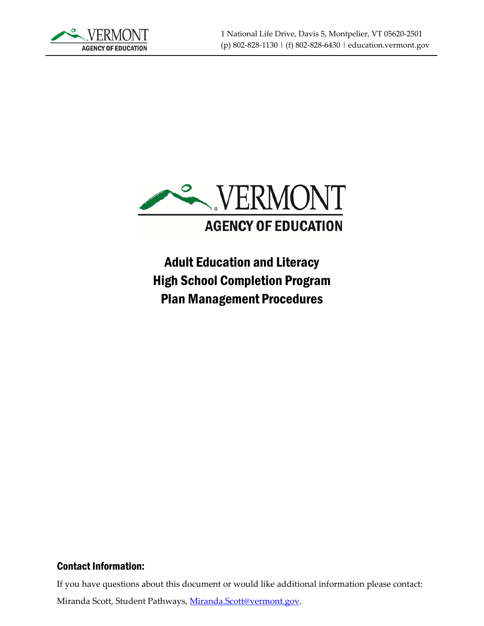



Adult Education and Literacy High School Completion Program Plan Management Procedures

#### Contact Information:

If you have questions about this document or would like additional information please contact:

Miranda Scott, Student Pathways, [Miranda.Scott@vermont.gov.](mailto:Miranda.Scott@vermont.gov)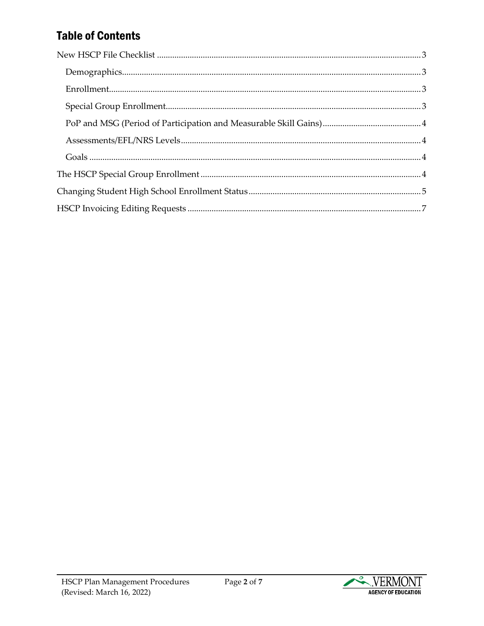# **Table of Contents**

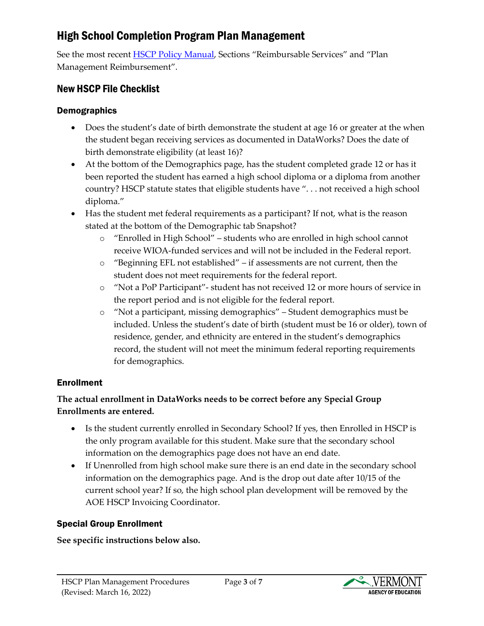## High School Completion Program Plan Management

See the most recent [HSCP Policy Manual,](https://education.vermont.gov/documents/high-school-completion-program-policy-manual) Sections "Reimbursable Services" and "Plan Management Reimbursement".

#### <span id="page-2-0"></span>New HSCP File Checklist

#### <span id="page-2-1"></span>Demographics

- Does the student's date of birth demonstrate the student at age 16 or greater at the when the student began receiving services as documented in DataWorks? Does the date of birth demonstrate eligibility (at least 16)?
- At the bottom of the Demographics page, has the student completed grade 12 or has it been reported the student has earned a high school diploma or a diploma from another country? HSCP statute states that eligible students have ". . . not received a high school diploma."
- Has the student met federal requirements as a participant? If not, what is the reason stated at the bottom of the Demographic tab Snapshot?
	- o "Enrolled in High School" students who are enrolled in high school cannot receive WIOA-funded services and will not be included in the Federal report.
	- o "Beginning EFL not established" if assessments are not current, then the student does not meet requirements for the federal report.
	- o "Not a PoP Participant"- student has not received 12 or more hours of service in the report period and is not eligible for the federal report.
	- o "Not a participant, missing demographics" Student demographics must be included. Unless the student's date of birth (student must be 16 or older), town of residence, gender, and ethnicity are entered in the student's demographics record, the student will not meet the minimum federal reporting requirements for demographics.

#### <span id="page-2-2"></span>Enrollment

#### **The actual enrollment in DataWorks needs to be correct before any Special Group Enrollments are entered.**

- Is the student currently enrolled in Secondary School? If yes, then Enrolled in HSCP is the only program available for this student. Make sure that the secondary school information on the demographics page does not have an end date.
- If Unenrolled from high school make sure there is an end date in the secondary school information on the demographics page. And is the drop out date after 10/15 of the current school year? If so, the high school plan development will be removed by the AOE HSCP Invoicing Coordinator.

#### <span id="page-2-3"></span>Special Group Enrollment

#### **See specific instructions below also.**

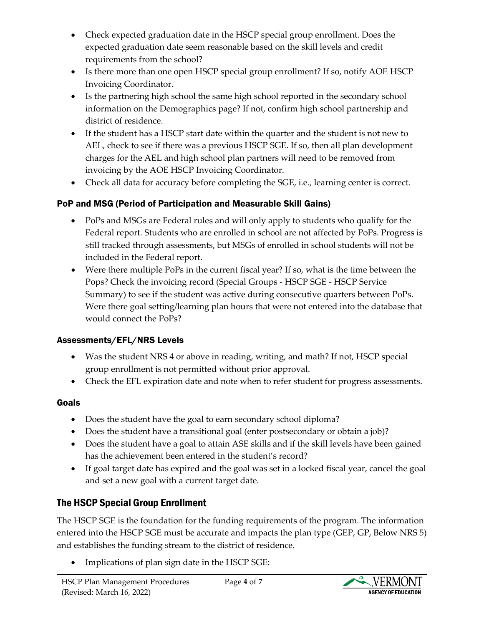- Check expected graduation date in the HSCP special group enrollment. Does the expected graduation date seem reasonable based on the skill levels and credit requirements from the school?
- Is there more than one open HSCP special group enrollment? If so, notify AOE HSCP Invoicing Coordinator.
- Is the partnering high school the same high school reported in the secondary school information on the Demographics page? If not, confirm high school partnership and district of residence.
- If the student has a HSCP start date within the quarter and the student is not new to AEL, check to see if there was a previous HSCP SGE. If so, then all plan development charges for the AEL and high school plan partners will need to be removed from invoicing by the AOE HSCP Invoicing Coordinator.
- Check all data for accuracy before completing the SGE, i.e., learning center is correct.

### <span id="page-3-0"></span>PoP and MSG (Period of Participation and Measurable Skill Gains)

- PoPs and MSGs are Federal rules and will only apply to students who qualify for the Federal report. Students who are enrolled in school are not affected by PoPs. Progress is still tracked through assessments, but MSGs of enrolled in school students will not be included in the Federal report.
- Were there multiple PoPs in the current fiscal year? If so, what is the time between the Pops? Check the invoicing record (Special Groups - HSCP SGE - HSCP Service Summary) to see if the student was active during consecutive quarters between PoPs. Were there goal setting/learning plan hours that were not entered into the database that would connect the PoPs?

### <span id="page-3-1"></span>Assessments/EFL/NRS Levels

- Was the student NRS 4 or above in reading, writing, and math? If not, HSCP special group enrollment is not permitted without prior approval.
- Check the EFL expiration date and note when to refer student for progress assessments.

### <span id="page-3-2"></span>Goals

- Does the student have the goal to earn secondary school diploma?
- Does the student have a transitional goal (enter postsecondary or obtain a job)?
- Does the student have a goal to attain ASE skills and if the skill levels have been gained has the achievement been entered in the student's record?
- If goal target date has expired and the goal was set in a locked fiscal year, cancel the goal and set a new goal with a current target date.

## <span id="page-3-3"></span>The HSCP Special Group Enrollment

The HSCP SGE is the foundation for the funding requirements of the program. The information entered into the HSCP SGE must be accurate and impacts the plan type (GEP, GP, Below NRS 5) and establishes the funding stream to the district of residence.

Implications of plan sign date in the HSCP SGE:

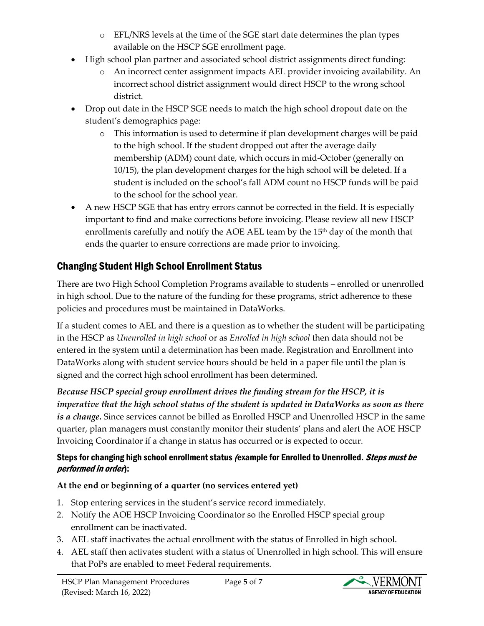- $\circ$  EFL/NRS levels at the time of the SGE start date determines the plan types available on the HSCP SGE enrollment page.
- High school plan partner and associated school district assignments direct funding:
	- o An incorrect center assignment impacts AEL provider invoicing availability. An incorrect school district assignment would direct HSCP to the wrong school district.
- Drop out date in the HSCP SGE needs to match the high school dropout date on the student's demographics page:
	- o This information is used to determine if plan development charges will be paid to the high school. If the student dropped out after the average daily membership (ADM) count date, which occurs in mid-October (generally on 10/15), the plan development charges for the high school will be deleted. If a student is included on the school's fall ADM count no HSCP funds will be paid to the school for the school year.
- A new HSCP SGE that has entry errors cannot be corrected in the field. It is especially important to find and make corrections before invoicing. Please review all new HSCP enrollments carefully and notify the AOE AEL team by the  $15<sup>th</sup>$  day of the month that ends the quarter to ensure corrections are made prior to invoicing.

## <span id="page-4-0"></span>Changing Student High School Enrollment Status

There are two High School Completion Programs available to students – enrolled or unenrolled in high school. Due to the nature of the funding for these programs, strict adherence to these policies and procedures must be maintained in DataWorks.

If a student comes to AEL and there is a question as to whether the student will be participating in the HSCP as *Unenrolled in high school* or as *Enrolled in high school* then data should not be entered in the system until a determination has been made. Registration and Enrollment into DataWorks along with student service hours should be held in a paper file until the plan is signed and the correct high school enrollment has been determined.

*Because HSCP special group enrollment drives the funding stream for the HSCP, it is imperative that the high school status of the student is updated in DataWorks as soon as there is a change.* Since services cannot be billed as Enrolled HSCP and Unenrolled HSCP in the same quarter, plan managers must constantly monitor their students' plans and alert the AOE HSCP Invoicing Coordinator if a change in status has occurred or is expected to occur.

#### Steps for changing high school enrollment status *(example for Enrolled to Unenrolled. Steps must be* performed in order):

### **At the end or beginning of a quarter (no services entered yet)**

- 1. Stop entering services in the student's service record immediately.
- 2. Notify the AOE HSCP Invoicing Coordinator so the Enrolled HSCP special group enrollment can be inactivated.
- 3. AEL staff inactivates the actual enrollment with the status of Enrolled in high school.
- 4. AEL staff then activates student with a status of Unenrolled in high school. This will ensure that PoPs are enabled to meet Federal requirements.



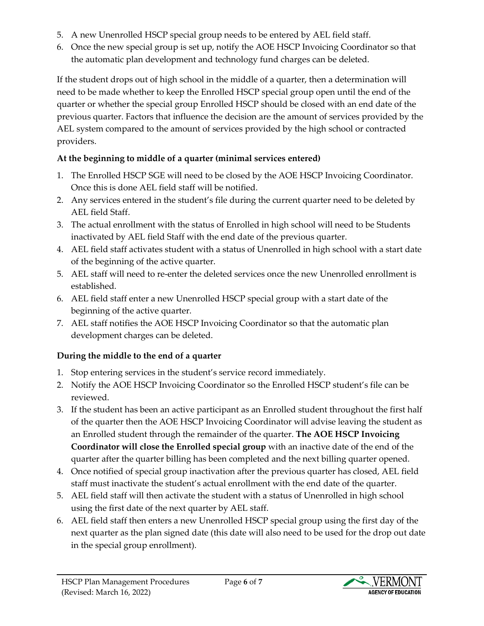- 5. A new Unenrolled HSCP special group needs to be entered by AEL field staff.
- 6. Once the new special group is set up, notify the AOE HSCP Invoicing Coordinator so that the automatic plan development and technology fund charges can be deleted.

If the student drops out of high school in the middle of a quarter, then a determination will need to be made whether to keep the Enrolled HSCP special group open until the end of the quarter or whether the special group Enrolled HSCP should be closed with an end date of the previous quarter. Factors that influence the decision are the amount of services provided by the AEL system compared to the amount of services provided by the high school or contracted providers.

### **At the beginning to middle of a quarter (minimal services entered)**

- 1. The Enrolled HSCP SGE will need to be closed by the AOE HSCP Invoicing Coordinator. Once this is done AEL field staff will be notified.
- 2. Any services entered in the student's file during the current quarter need to be deleted by AEL field Staff.
- 3. The actual enrollment with the status of Enrolled in high school will need to be Students inactivated by AEL field Staff with the end date of the previous quarter.
- 4. AEL field staff activates student with a status of Unenrolled in high school with a start date of the beginning of the active quarter.
- 5. AEL staff will need to re-enter the deleted services once the new Unenrolled enrollment is established.
- 6. AEL field staff enter a new Unenrolled HSCP special group with a start date of the beginning of the active quarter.
- 7. AEL staff notifies the AOE HSCP Invoicing Coordinator so that the automatic plan development charges can be deleted.

### **During the middle to the end of a quarter**

- 1. Stop entering services in the student's service record immediately.
- 2. Notify the AOE HSCP Invoicing Coordinator so the Enrolled HSCP student's file can be reviewed.
- 3. If the student has been an active participant as an Enrolled student throughout the first half of the quarter then the AOE HSCP Invoicing Coordinator will advise leaving the student as an Enrolled student through the remainder of the quarter. **The AOE HSCP Invoicing Coordinator will close the Enrolled special group** with an inactive date of the end of the quarter after the quarter billing has been completed and the next billing quarter opened.
- 4. Once notified of special group inactivation after the previous quarter has closed, AEL field staff must inactivate the student's actual enrollment with the end date of the quarter.
- 5. AEL field staff will then activate the student with a status of Unenrolled in high school using the first date of the next quarter by AEL staff.
- 6. AEL field staff then enters a new Unenrolled HSCP special group using the first day of the next quarter as the plan signed date (this date will also need to be used for the drop out date in the special group enrollment).